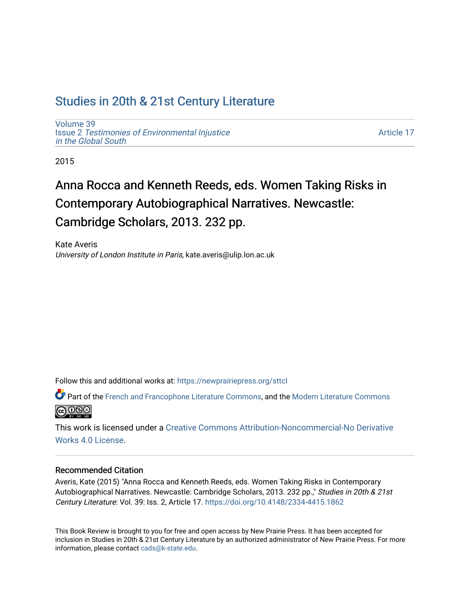## [Studies in 20th & 21st Century Literature](https://newprairiepress.org/sttcl)

[Volume 39](https://newprairiepress.org/sttcl/vol39) Issue 2 [Testimonies of Environmental Injustice](https://newprairiepress.org/sttcl/vol39/iss2) [in the Global South](https://newprairiepress.org/sttcl/vol39/iss2)

[Article 17](https://newprairiepress.org/sttcl/vol39/iss2/17) 

2015

# Anna Rocca and Kenneth Reeds, eds. Women Taking Risks in Contemporary Autobiographical Narratives. Newcastle: Cambridge Scholars, 2013. 232 pp.

Kate Averis University of London Institute in Paris, kate.averis@ulip.lon.ac.uk

Follow this and additional works at: [https://newprairiepress.org/sttcl](https://newprairiepress.org/sttcl?utm_source=newprairiepress.org%2Fsttcl%2Fvol39%2Fiss2%2F17&utm_medium=PDF&utm_campaign=PDFCoverPages) 

Part of the [French and Francophone Literature Commons,](http://network.bepress.com/hgg/discipline/465?utm_source=newprairiepress.org%2Fsttcl%2Fvol39%2Fiss2%2F17&utm_medium=PDF&utm_campaign=PDFCoverPages) and the [Modern Literature Commons](http://network.bepress.com/hgg/discipline/1050?utm_source=newprairiepress.org%2Fsttcl%2Fvol39%2Fiss2%2F17&utm_medium=PDF&utm_campaign=PDFCoverPages) **@000** 

This work is licensed under a [Creative Commons Attribution-Noncommercial-No Derivative](https://creativecommons.org/licenses/by-nc-nd/4.0/)  [Works 4.0 License](https://creativecommons.org/licenses/by-nc-nd/4.0/).

## Recommended Citation

Averis, Kate (2015) "Anna Rocca and Kenneth Reeds, eds. Women Taking Risks in Contemporary Autobiographical Narratives. Newcastle: Cambridge Scholars, 2013. 232 pp.," Studies in 20th & 21st Century Literature: Vol. 39: Iss. 2, Article 17.<https://doi.org/10.4148/2334-4415.1862>

This Book Review is brought to you for free and open access by New Prairie Press. It has been accepted for inclusion in Studies in 20th & 21st Century Literature by an authorized administrator of New Prairie Press. For more information, please contact [cads@k-state.edu](mailto:cads@k-state.edu).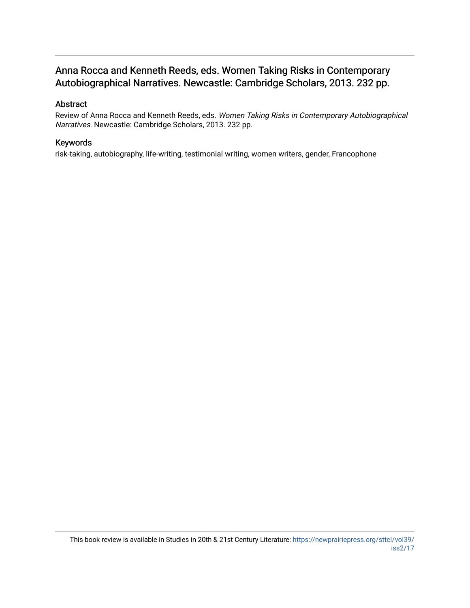## Anna Rocca and Kenneth Reeds, eds. Women Taking Risks in Contemporary Autobiographical Narratives. Newcastle: Cambridge Scholars, 2013. 232 pp.

## Abstract

Review of Anna Rocca and Kenneth Reeds, eds. Women Taking Risks in Contemporary Autobiographical Narratives. Newcastle: Cambridge Scholars, 2013. 232 pp.

#### Keywords

risk-taking, autobiography, life-writing, testimonial writing, women writers, gender, Francophone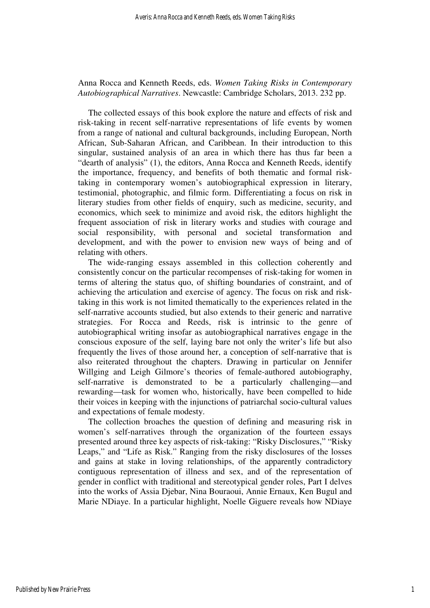## Anna Rocca and Kenneth Reeds, eds. *Women Taking Risks in Contemporary Autobiographical Narratives*. Newcastle: Cambridge Scholars, 2013. 232 pp.

The collected essays of this book explore the nature and effects of risk and risk-taking in recent self-narrative representations of life events by women from a range of national and cultural backgrounds, including European, North African, Sub-Saharan African, and Caribbean. In their introduction to this singular, sustained analysis of an area in which there has thus far been a "dearth of analysis" (1), the editors, Anna Rocca and Kenneth Reeds, identify the importance, frequency, and benefits of both thematic and formal risktaking in contemporary women's autobiographical expression in literary, testimonial, photographic, and filmic form. Differentiating a focus on risk in literary studies from other fields of enquiry, such as medicine, security, and economics, which seek to minimize and avoid risk, the editors highlight the frequent association of risk in literary works and studies with courage and social responsibility, with personal and societal transformation and development, and with the power to envision new ways of being and of relating with others.

The wide-ranging essays assembled in this collection coherently and consistently concur on the particular recompenses of risk-taking for women in terms of altering the status quo, of shifting boundaries of constraint, and of achieving the articulation and exercise of agency. The focus on risk and risktaking in this work is not limited thematically to the experiences related in the self-narrative accounts studied, but also extends to their generic and narrative strategies. For Rocca and Reeds, risk is intrinsic to the genre of autobiographical writing insofar as autobiographical narratives engage in the conscious exposure of the self, laying bare not only the writer's life but also frequently the lives of those around her, a conception of self-narrative that is also reiterated throughout the chapters. Drawing in particular on Jennifer Willging and Leigh Gilmore's theories of female-authored autobiography, self-narrative is demonstrated to be a particularly challenging—and rewarding—task for women who, historically, have been compelled to hide their voices in keeping with the injunctions of patriarchal socio-cultural values and expectations of female modesty.

The collection broaches the question of defining and measuring risk in women's self-narratives through the organization of the fourteen essays presented around three key aspects of risk-taking: "Risky Disclosures," "Risky Leaps," and "Life as Risk." Ranging from the risky disclosures of the losses and gains at stake in loving relationships, of the apparently contradictory contiguous representation of illness and sex, and of the representation of gender in conflict with traditional and stereotypical gender roles, Part I delves into the works of Assia Djebar, Nina Bouraoui, Annie Ernaux, Ken Bugul and Marie NDiaye. In a particular highlight, Noelle Giguere reveals how NDiaye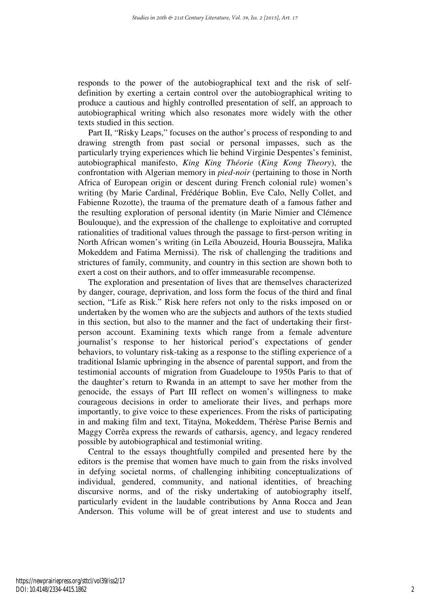responds to the power of the autobiographical text and the risk of selfdefinition by exerting a certain control over the autobiographical writing to produce a cautious and highly controlled presentation of self, an approach to autobiographical writing which also resonates more widely with the other texts studied in this section.

Part II, "Risky Leaps," focuses on the author's process of responding to and drawing strength from past social or personal impasses, such as the particularly trying experiences which lie behind Virginie Despentes's feminist, autobiographical manifesto, *King King Théorie* (*King Kong Theory*), the confrontation with Algerian memory in *pied-noir* (pertaining to those in North Africa of European origin or descent during French colonial rule) women's writing (by Marie Cardinal, Frédérique Boblin, Eve Calo, Nelly Collet, and Fabienne Rozotte), the trauma of the premature death of a famous father and the resulting exploration of personal identity (in Marie Nimier and Clémence Boulouque), and the expression of the challenge to exploitative and corrupted rationalities of traditional values through the passage to first-person writing in North African women's writing (in Leïla Abouzeid, Houria Boussejra, Malika Mokeddem and Fatima Mernissi). The risk of challenging the traditions and strictures of family, community, and country in this section are shown both to exert a cost on their authors, and to offer immeasurable recompense.

The exploration and presentation of lives that are themselves characterized by danger, courage, deprivation, and loss form the focus of the third and final section, "Life as Risk." Risk here refers not only to the risks imposed on or undertaken by the women who are the subjects and authors of the texts studied in this section, but also to the manner and the fact of undertaking their firstperson account. Examining texts which range from a female adventure journalist's response to her historical period's expectations of gender behaviors, to voluntary risk-taking as a response to the stifling experience of a traditional Islamic upbringing in the absence of parental support, and from the testimonial accounts of migration from Guadeloupe to 1950s Paris to that of the daughter's return to Rwanda in an attempt to save her mother from the genocide, the essays of Part III reflect on women's willingness to make courageous decisions in order to ameliorate their lives, and perhaps more importantly, to give voice to these experiences. From the risks of participating in and making film and text, Titaÿna, Mokeddem, Thérèse Parise Bernis and Maggy Corrêa express the rewards of catharsis, agency, and legacy rendered possible by autobiographical and testimonial writing.

Central to the essays thoughtfully compiled and presented here by the editors is the premise that women have much to gain from the risks involved in defying societal norms, of challenging inhibiting conceptualizations of individual, gendered, community, and national identities, of breaching discursive norms, and of the risky undertaking of autobiography itself, particularly evident in the laudable contributions by Anna Rocca and Jean Anderson. This volume will be of great interest and use to students and